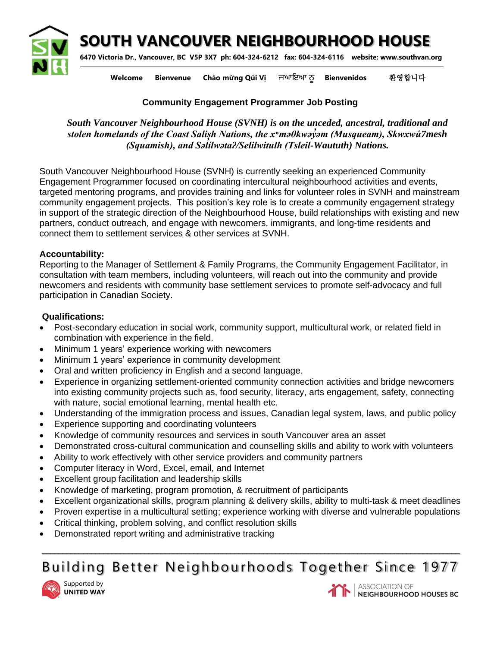**SOUTH VANCOUVER NEIGHBOURHOOD HOUSE**



**6470 Victoria Dr., Vancouver, BC V5P 3X7 ph: 604-324-6212 fax: 604-324-6116 website: www.southvan.org** 

**Welcome Bienvenue Chào mừng Qúi Vị** ਜਆਇਆ ਨੂ **Bienvenidos** 환영합니다

## **Community Engagement Programmer Job Posting**

*South Vancouver Neighbourhood House (SVNH) is on the unceded, ancestral, traditional and stolen homelands of the Coast Salish Nations, the xʷməθkwəy̓əm (Musqueam), Skwxwú7mesh (Squamish), and Səl ̓ ílwətaʔ/Selilwitulh (Tsleil-Waututh) Nations.*

South Vancouver Neighbourhood House (SVNH) is currently seeking an experienced Community Engagement Programmer focused on coordinating intercultural neighbourhood activities and events, targeted mentoring programs, and provides training and links for volunteer roles in SVNH and mainstream community engagement projects. This position's key role is to create a community engagement strategy in support of the strategic direction of the Neighbourhood House, build relationships with existing and new partners, conduct outreach, and engage with newcomers, immigrants, and long-time residents and connect them to settlement services & other services at SVNH.

## **Accountability:**

Reporting to the Manager of Settlement & Family Programs, the Community Engagement Facilitator, in consultation with team members, including volunteers, will reach out into the community and provide newcomers and residents with community base settlement services to promote self-advocacy and full participation in Canadian Society.

## **Qualifications:**

- Post-secondary education in social work, community support, multicultural work, or related field in combination with experience in the field.
- Minimum 1 years' experience working with newcomers
- Minimum 1 years' experience in community development
- Oral and written proficiency in English and a second language.
- Experience in organizing settlement-oriented community connection activities and bridge newcomers into existing community projects such as, food security, literacy, arts engagement, safety, connecting with nature, social emotional learning, mental health etc.
- Understanding of the immigration process and issues, Canadian legal system, laws, and public policy
- Experience supporting and coordinating volunteers
- Knowledge of community resources and services in south Vancouver area an asset
- Demonstrated cross-cultural communication and counselling skills and ability to work with volunteers
- Ability to work effectively with other service providers and community partners
- Computer literacy in Word, Excel, email, and Internet
- Excellent group facilitation and leadership skills
- Knowledge of marketing, program promotion, & recruitment of participants
- Excellent organizational skills, program planning & delivery skills, ability to multi-task & meet deadlines
- Proven expertise in a multicultural setting; experience working with diverse and vulnerable populations
- Critical thinking, problem solving, and conflict resolution skills
- Demonstrated report writing and administrative tracking

**\_\_\_\_\_\_\_\_\_\_\_\_\_\_\_\_\_\_\_\_\_\_\_\_\_\_\_\_\_\_\_\_\_\_\_\_\_\_\_\_\_\_\_\_\_\_\_\_\_\_\_\_\_\_\_\_\_\_\_\_\_\_\_\_\_\_\_\_\_\_\_\_\_\_\_\_\_\_\_\_\_\_\_\_\_\_\_\_\_\_\_\_\_\_\_\_\_\_\_\_\_\_** Building Better Neighbourhoods Together Since 1977







**ASSOCIATION OF** NEIGHBOURHOOD HOUSES BC